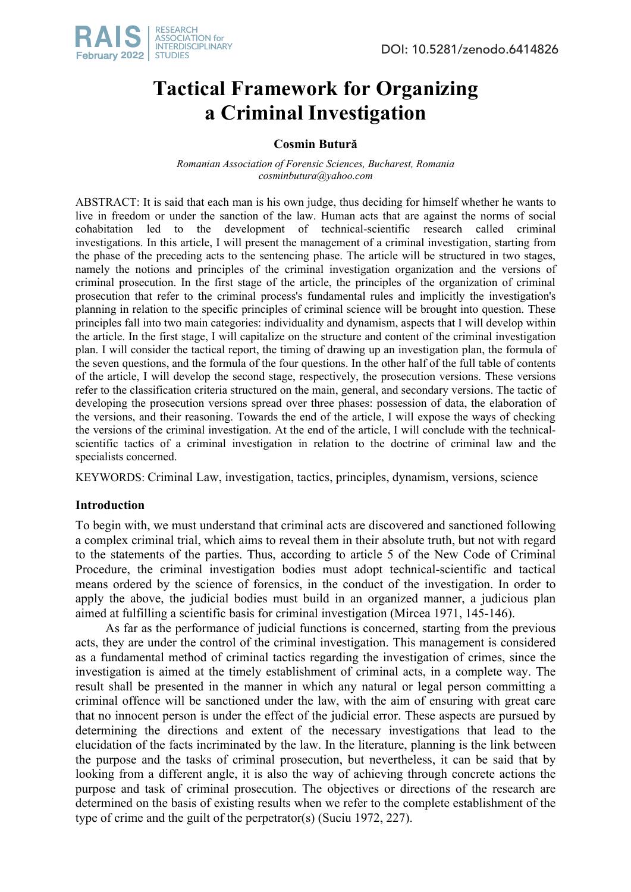

# **Tactical Framework for Organizing a Criminal Investigation**

# **Cosmin Butură**

*Romanian Association of Forensic Sciences, Bucharest, Romania cosminbutura@yahoo.com* 

ABSTRACT: It is said that each man is his own judge, thus deciding for himself whether he wants to live in freedom or under the sanction of the law. Human acts that are against the norms of social cohabitation led to the development of technical-scientific research called criminal investigations. In this article, I will present the management of a criminal investigation, starting from the phase of the preceding acts to the sentencing phase. The article will be structured in two stages, namely the notions and principles of the criminal investigation organization and the versions of criminal prosecution. In the first stage of the article, the principles of the organization of criminal prosecution that refer to the criminal process's fundamental rules and implicitly the investigation's planning in relation to the specific principles of criminal science will be brought into question. These principles fall into two main categories: individuality and dynamism, aspects that I will develop within the article. In the first stage, I will capitalize on the structure and content of the criminal investigation plan. I will consider the tactical report, the timing of drawing up an investigation plan, the formula of the seven questions, and the formula of the four questions. In the other half of the full table of contents of the article, I will develop the second stage, respectively, the prosecution versions. These versions refer to the classification criteria structured on the main, general, and secondary versions. The tactic of developing the prosecution versions spread over three phases: possession of data, the elaboration of the versions, and their reasoning. Towards the end of the article, I will expose the ways of checking the versions of the criminal investigation. At the end of the article, I will conclude with the technicalscientific tactics of a criminal investigation in relation to the doctrine of criminal law and the specialists concerned.

KEYWORDS: Criminal Law, investigation, tactics, principles, dynamism, versions, science

# **Introduction**

To begin with, we must understand that criminal acts are discovered and sanctioned following a complex criminal trial, which aims to reveal them in their absolute truth, but not with regard to the statements of the parties. Thus, according to article 5 of the New Code of Criminal Procedure, the criminal investigation bodies must adopt technical-scientific and tactical means ordered by the science of forensics, in the conduct of the investigation. In order to apply the above, the judicial bodies must build in an organized manner, a judicious plan aimed at fulfilling a scientific basis for criminal investigation (Mircea 1971, 145-146).

As far as the performance of judicial functions is concerned, starting from the previous acts, they are under the control of the criminal investigation. This management is considered as a fundamental method of criminal tactics regarding the investigation of crimes, since the investigation is aimed at the timely establishment of criminal acts, in a complete way. The result shall be presented in the manner in which any natural or legal person committing a criminal offence will be sanctioned under the law, with the aim of ensuring with great care that no innocent person is under the effect of the judicial error. These aspects are pursued by determining the directions and extent of the necessary investigations that lead to the elucidation of the facts incriminated by the law. In the literature, planning is the link between the purpose and the tasks of criminal prosecution, but nevertheless, it can be said that by looking from a different angle, it is also the way of achieving through concrete actions the purpose and task of criminal prosecution. The objectives or directions of the research are determined on the basis of existing results when we refer to the complete establishment of the type of crime and the guilt of the perpetrator(s) (Suciu 1972, 227).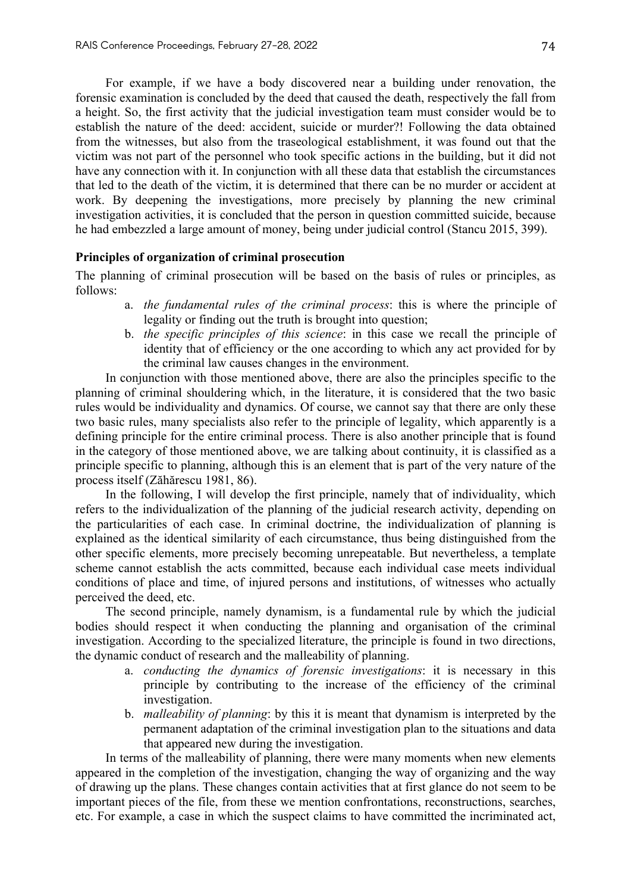For example, if we have a body discovered near a building under renovation, the forensic examination is concluded by the deed that caused the death, respectively the fall from a height. So, the first activity that the judicial investigation team must consider would be to establish the nature of the deed: accident, suicide or murder?! Following the data obtained from the witnesses, but also from the traseological establishment, it was found out that the victim was not part of the personnel who took specific actions in the building, but it did not have any connection with it. In conjunction with all these data that establish the circumstances that led to the death of the victim, it is determined that there can be no murder or accident at work. By deepening the investigations, more precisely by planning the new criminal investigation activities, it is concluded that the person in question committed suicide, because he had embezzled a large amount of money, being under judicial control (Stancu 2015, 399).

## **Principles of organization of criminal prosecution**

The planning of criminal prosecution will be based on the basis of rules or principles, as follows:

- a. *the fundamental rules of the criminal process*: this is where the principle of legality or finding out the truth is brought into question;
- b. *the specific principles of this science*: in this case we recall the principle of identity that of efficiency or the one according to which any act provided for by the criminal law causes changes in the environment.

In conjunction with those mentioned above, there are also the principles specific to the planning of criminal shouldering which, in the literature, it is considered that the two basic rules would be individuality and dynamics. Of course, we cannot say that there are only these two basic rules, many specialists also refer to the principle of legality, which apparently is a defining principle for the entire criminal process. There is also another principle that is found in the category of those mentioned above, we are talking about continuity, it is classified as a principle specific to planning, although this is an element that is part of the very nature of the process itself (Zăhărescu 1981, 86).

In the following, I will develop the first principle, namely that of individuality, which refers to the individualization of the planning of the judicial research activity, depending on the particularities of each case. In criminal doctrine, the individualization of planning is explained as the identical similarity of each circumstance, thus being distinguished from the other specific elements, more precisely becoming unrepeatable. But nevertheless, a template scheme cannot establish the acts committed, because each individual case meets individual conditions of place and time, of injured persons and institutions, of witnesses who actually perceived the deed, etc.

The second principle, namely dynamism, is a fundamental rule by which the judicial bodies should respect it when conducting the planning and organisation of the criminal investigation. According to the specialized literature, the principle is found in two directions, the dynamic conduct of research and the malleability of planning.

- a. *conducting the dynamics of forensic investigations*: it is necessary in this principle by contributing to the increase of the efficiency of the criminal investigation.
- b. *malleability of planning*: by this it is meant that dynamism is interpreted by the permanent adaptation of the criminal investigation plan to the situations and data that appeared new during the investigation.

In terms of the malleability of planning, there were many moments when new elements appeared in the completion of the investigation, changing the way of organizing and the way of drawing up the plans. These changes contain activities that at first glance do not seem to be important pieces of the file, from these we mention confrontations, reconstructions, searches, etc. For example, a case in which the suspect claims to have committed the incriminated act,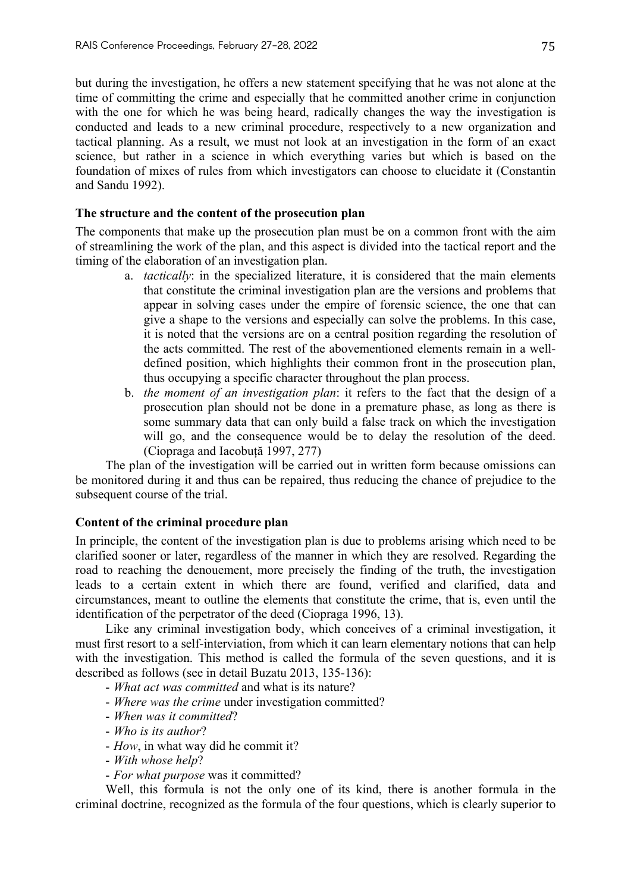but during the investigation, he offers a new statement specifying that he was not alone at the time of committing the crime and especially that he committed another crime in conjunction with the one for which he was being heard, radically changes the way the investigation is conducted and leads to a new criminal procedure, respectively to a new organization and tactical planning. As a result, we must not look at an investigation in the form of an exact science, but rather in a science in which everything varies but which is based on the foundation of mixes of rules from which investigators can choose to elucidate it (Constantin and Sandu 1992).

## **The structure and the content of the prosecution plan**

The components that make up the prosecution plan must be on a common front with the aim of streamlining the work of the plan, and this aspect is divided into the tactical report and the timing of the elaboration of an investigation plan.

- a. *tactically*: in the specialized literature, it is considered that the main elements that constitute the criminal investigation plan are the versions and problems that appear in solving cases under the empire of forensic science, the one that can give a shape to the versions and especially can solve the problems. In this case, it is noted that the versions are on a central position regarding the resolution of the acts committed. The rest of the abovementioned elements remain in a welldefined position, which highlights their common front in the prosecution plan, thus occupying a specific character throughout the plan process.
- b. *the moment of an investigation plan*: it refers to the fact that the design of a prosecution plan should not be done in a premature phase, as long as there is some summary data that can only build a false track on which the investigation will go, and the consequence would be to delay the resolution of the deed. (Ciopraga and Iacobuță 1997, 277)

The plan of the investigation will be carried out in written form because omissions can be monitored during it and thus can be repaired, thus reducing the chance of prejudice to the subsequent course of the trial.

# **Content of the criminal procedure plan**

In principle, the content of the investigation plan is due to problems arising which need to be clarified sooner or later, regardless of the manner in which they are resolved. Regarding the road to reaching the denouement, more precisely the finding of the truth, the investigation leads to a certain extent in which there are found, verified and clarified, data and circumstances, meant to outline the elements that constitute the crime, that is, even until the identification of the perpetrator of the deed (Ciopraga 1996, 13).

Like any criminal investigation body, which conceives of a criminal investigation, it must first resort to a self-interviation, from which it can learn elementary notions that can help with the investigation. This method is called the formula of the seven questions, and it is described as follows (see in detail Buzatu 2013, 135-136):

- *What act was committed* and what is its nature?
- *Where was the crime* under investigation committed?
- *When was it committed*?
- *Who is its author*?
- *How*, in what way did he commit it?
- *With whose help*?
- *For what purpose* was it committed?

Well, this formula is not the only one of its kind, there is another formula in the criminal doctrine, recognized as the formula of the four questions, which is clearly superior to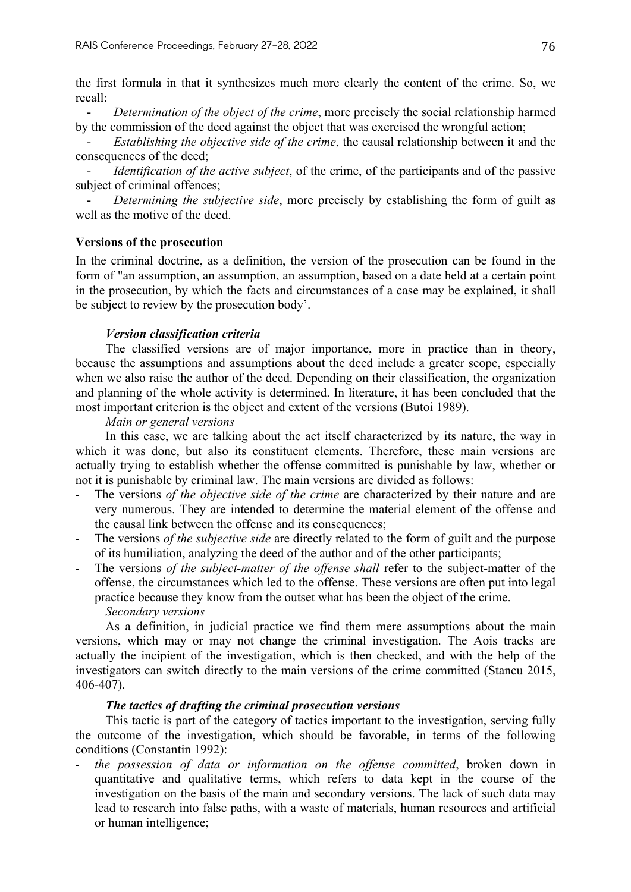the first formula in that it synthesizes much more clearly the content of the crime. So, we recall:

- *Determination of the object of the crime*, more precisely the social relationship harmed by the commission of the deed against the object that was exercised the wrongful action;

*Establishing the objective side of the crime*, the causal relationship between it and the consequences of the deed;

*Identification of the active subject*, of the crime, of the participants and of the passive subject of criminal offences;

*Determining the subjective side*, more precisely by establishing the form of guilt as well as the motive of the deed.

#### **Versions of the prosecution**

In the criminal doctrine, as a definition, the version of the prosecution can be found in the form of "an assumption, an assumption, an assumption, based on a date held at a certain point in the prosecution, by which the facts and circumstances of a case may be explained, it shall be subject to review by the prosecution body'.

#### *Version classification criteria*

The classified versions are of major importance, more in practice than in theory, because the assumptions and assumptions about the deed include a greater scope, especially when we also raise the author of the deed. Depending on their classification, the organization and planning of the whole activity is determined. In literature, it has been concluded that the most important criterion is the object and extent of the versions (Butoi 1989).

#### *Main or general versions*

In this case, we are talking about the act itself characterized by its nature, the way in which it was done, but also its constituent elements. Therefore, these main versions are actually trying to establish whether the offense committed is punishable by law, whether or not it is punishable by criminal law. The main versions are divided as follows:

- The versions *of the objective side of the crime* are characterized by their nature and are very numerous. They are intended to determine the material element of the offense and the causal link between the offense and its consequences;
- The versions *of the subjective side* are directly related to the form of guilt and the purpose of its humiliation, analyzing the deed of the author and of the other participants;
- The versions *of the subject-matter of the offense shall* refer to the subject-matter of the offense, the circumstances which led to the offense. These versions are often put into legal practice because they know from the outset what has been the object of the crime.
	- *Secondary versions*

As a definition, in judicial practice we find them mere assumptions about the main versions, which may or may not change the criminal investigation. The Aois tracks are actually the incipient of the investigation, which is then checked, and with the help of the investigators can switch directly to the main versions of the crime committed (Stancu 2015, 406-407).

## *The tactics of drafting the criminal prosecution versions*

This tactic is part of the category of tactics important to the investigation, serving fully the outcome of the investigation, which should be favorable, in terms of the following conditions (Constantin 1992):

- *the possession of data or information on the offense committed*, broken down in quantitative and qualitative terms, which refers to data kept in the course of the investigation on the basis of the main and secondary versions. The lack of such data may lead to research into false paths, with a waste of materials, human resources and artificial or human intelligence;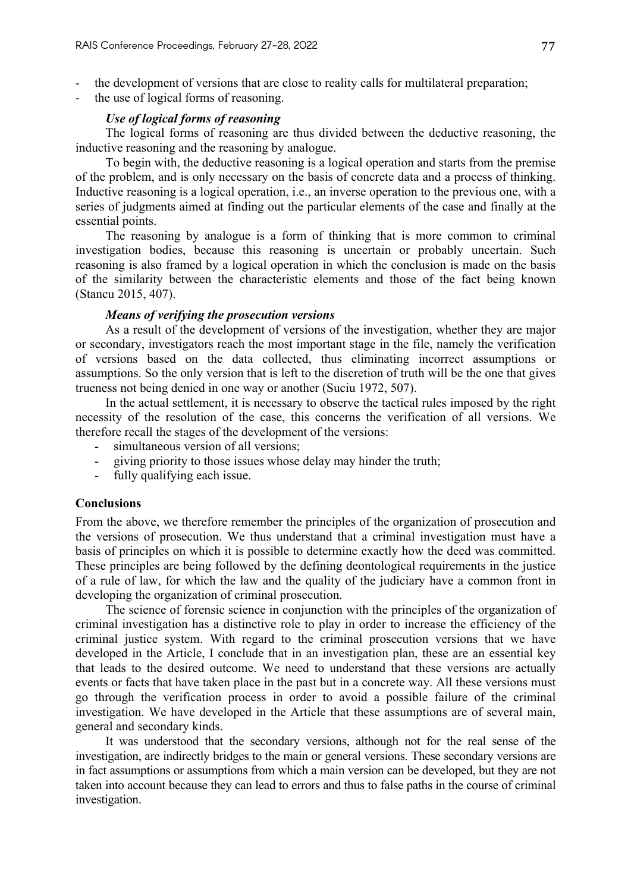- the development of versions that are close to reality calls for multilateral preparation;
- the use of logical forms of reasoning.

### *Use of logical forms of reasoning*

The logical forms of reasoning are thus divided between the deductive reasoning, the inductive reasoning and the reasoning by analogue.

To begin with, the deductive reasoning is a logical operation and starts from the premise of the problem, and is only necessary on the basis of concrete data and a process of thinking. Inductive reasoning is a logical operation, i.e., an inverse operation to the previous one, with a series of judgments aimed at finding out the particular elements of the case and finally at the essential points.

The reasoning by analogue is a form of thinking that is more common to criminal investigation bodies, because this reasoning is uncertain or probably uncertain. Such reasoning is also framed by a logical operation in which the conclusion is made on the basis of the similarity between the characteristic elements and those of the fact being known (Stancu 2015, 407).

#### *Means of verifying the prosecution versions*

As a result of the development of versions of the investigation, whether they are major or secondary, investigators reach the most important stage in the file, namely the verification of versions based on the data collected, thus eliminating incorrect assumptions or assumptions. So the only version that is left to the discretion of truth will be the one that gives trueness not being denied in one way or another (Suciu 1972, 507).

In the actual settlement, it is necessary to observe the tactical rules imposed by the right necessity of the resolution of the case, this concerns the verification of all versions. We therefore recall the stages of the development of the versions:

- simultaneous version of all versions;
- giving priority to those issues whose delay may hinder the truth;
- fully qualifying each issue.

#### **Conclusions**

From the above, we therefore remember the principles of the organization of prosecution and the versions of prosecution. We thus understand that a criminal investigation must have a basis of principles on which it is possible to determine exactly how the deed was committed. These principles are being followed by the defining deontological requirements in the justice of a rule of law, for which the law and the quality of the judiciary have a common front in developing the organization of criminal prosecution.

The science of forensic science in conjunction with the principles of the organization of criminal investigation has a distinctive role to play in order to increase the efficiency of the criminal justice system. With regard to the criminal prosecution versions that we have developed in the Article, I conclude that in an investigation plan, these are an essential key that leads to the desired outcome. We need to understand that these versions are actually events or facts that have taken place in the past but in a concrete way. All these versions must go through the verification process in order to avoid a possible failure of the criminal investigation. We have developed in the Article that these assumptions are of several main, general and secondary kinds.

It was understood that the secondary versions, although not for the real sense of the investigation, are indirectly bridges to the main or general versions. These secondary versions are in fact assumptions or assumptions from which a main version can be developed, but they are not taken into account because they can lead to errors and thus to false paths in the course of criminal investigation.